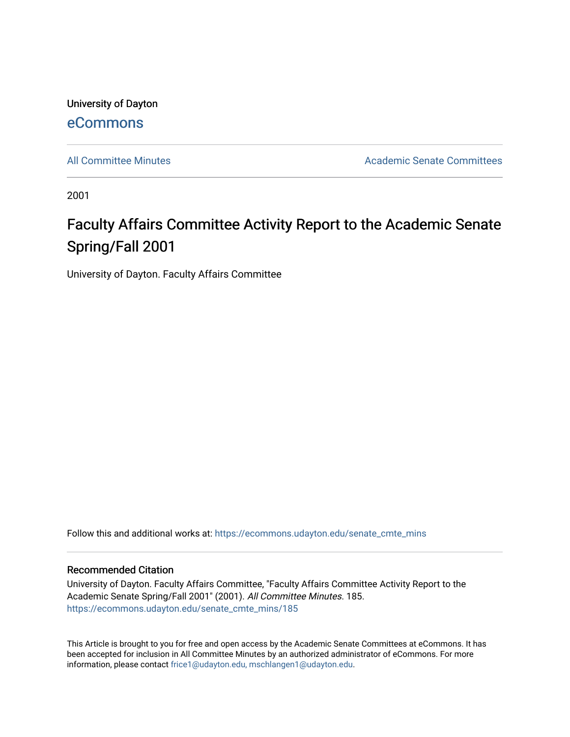University of Dayton [eCommons](https://ecommons.udayton.edu/)

[All Committee Minutes](https://ecommons.udayton.edu/senate_cmte_mins) **Academic Senate Committees** Academic Senate Committees

2001

## Faculty Affairs Committee Activity Report to the Academic Senate Spring/Fall 2001

University of Dayton. Faculty Affairs Committee

Follow this and additional works at: [https://ecommons.udayton.edu/senate\\_cmte\\_mins](https://ecommons.udayton.edu/senate_cmte_mins?utm_source=ecommons.udayton.edu%2Fsenate_cmte_mins%2F185&utm_medium=PDF&utm_campaign=PDFCoverPages)

## Recommended Citation

University of Dayton. Faculty Affairs Committee, "Faculty Affairs Committee Activity Report to the Academic Senate Spring/Fall 2001" (2001). All Committee Minutes. 185. [https://ecommons.udayton.edu/senate\\_cmte\\_mins/185](https://ecommons.udayton.edu/senate_cmte_mins/185?utm_source=ecommons.udayton.edu%2Fsenate_cmte_mins%2F185&utm_medium=PDF&utm_campaign=PDFCoverPages)

This Article is brought to you for free and open access by the Academic Senate Committees at eCommons. It has been accepted for inclusion in All Committee Minutes by an authorized administrator of eCommons. For more information, please contact [frice1@udayton.edu, mschlangen1@udayton.edu](mailto:frice1@udayton.edu,%20mschlangen1@udayton.edu).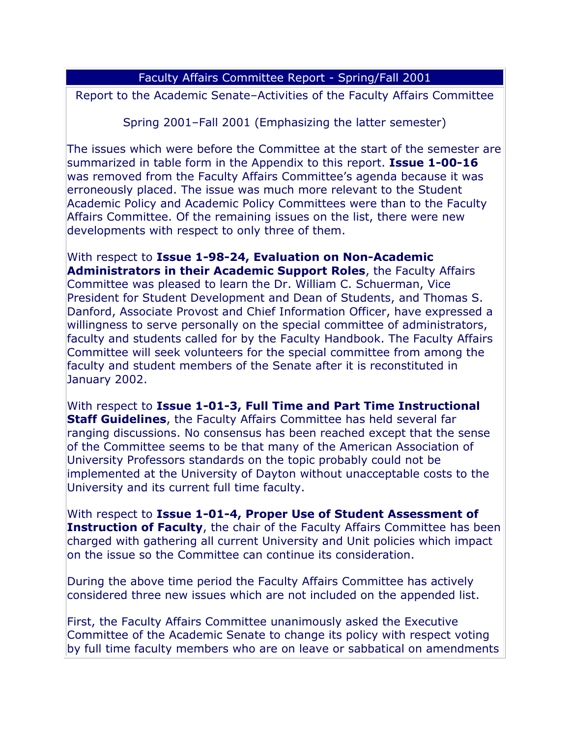## Faculty Affairs Committee Report - Spring/Fall 2001

Report to the Academic Senate–Activities of the Faculty Affairs Committee

Spring 2001–Fall 2001 (Emphasizing the latter semester)

The issues which were before the Committee at the start of the semester are summarized in table form in the Appendix to this report. **Issue 1-00-16** was removed from the Faculty Affairs Committee's agenda because it was erroneously placed. The issue was much more relevant to the Student Academic Policy and Academic Policy Committees were than to the Faculty Affairs Committee. Of the remaining issues on the list, there were new developments with respect to only three of them.

With respect to **Issue 1-98-24, Evaluation on Non-Academic Administrators in their Academic Support Roles**, the Faculty Affairs Committee was pleased to learn the Dr. William C. Schuerman, Vice President for Student Development and Dean of Students, and Thomas S. Danford, Associate Provost and Chief Information Officer, have expressed a willingness to serve personally on the special committee of administrators, faculty and students called for by the Faculty Handbook. The Faculty Affairs Committee will seek volunteers for the special committee from among the faculty and student members of the Senate after it is reconstituted in January 2002.

With respect to **Issue 1-01-3, Full Time and Part Time Instructional Staff Guidelines**, the Faculty Affairs Committee has held several far ranging discussions. No consensus has been reached except that the sense of the Committee seems to be that many of the American Association of University Professors standards on the topic probably could not be implemented at the University of Dayton without unacceptable costs to the University and its current full time faculty.

With respect to **Issue 1-01-4, Proper Use of Student Assessment of Instruction of Faculty**, the chair of the Faculty Affairs Committee has been charged with gathering all current University and Unit policies which impact on the issue so the Committee can continue its consideration.

During the above time period the Faculty Affairs Committee has actively considered three new issues which are not included on the appended list.

First, the Faculty Affairs Committee unanimously asked the Executive Committee of the Academic Senate to change its policy with respect voting by full time faculty members who are on leave or sabbatical on amendments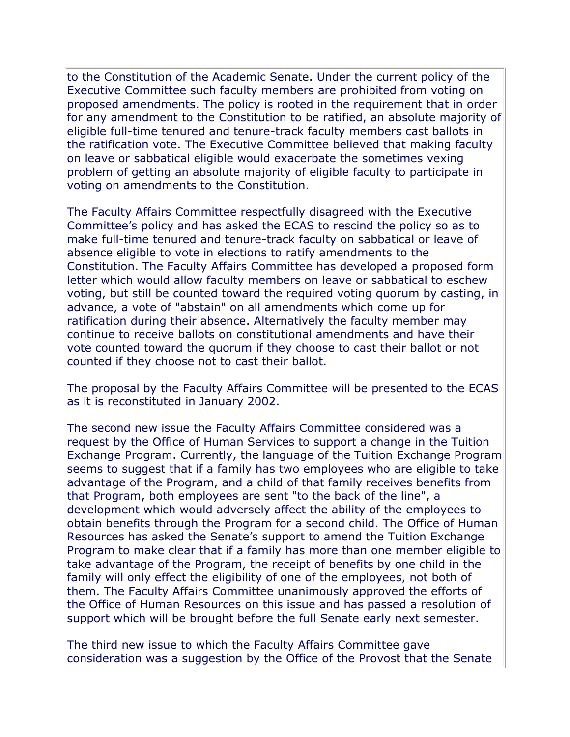to the Constitution of the Academic Senate. Under the current policy of the Executive Committee such faculty members are prohibited from voting on proposed amendments. The policy is rooted in the requirement that in order for any amendment to the Constitution to be ratified, an absolute majority of eligible full-time tenured and tenure-track faculty members cast ballots in the ratification vote. The Executive Committee believed that making faculty on leave or sabbatical eligible would exacerbate the sometimes vexing problem of getting an absolute majority of eligible faculty to participate in voting on amendments to the Constitution.

The Faculty Affairs Committee respectfully disagreed with the Executive Committee's policy and has asked the ECAS to rescind the policy so as to make full-time tenured and tenure-track faculty on sabbatical or leave of absence eligible to vote in elections to ratify amendments to the Constitution. The Faculty Affairs Committee has developed a proposed form letter which would allow faculty members on leave or sabbatical to eschew voting, but still be counted toward the required voting quorum by casting, in advance, a vote of "abstain" on all amendments which come up for ratification during their absence. Alternatively the faculty member may continue to receive ballots on constitutional amendments and have their vote counted toward the quorum if they choose to cast their ballot or not counted if they choose not to cast their ballot.

The proposal by the Faculty Affairs Committee will be presented to the ECAS as it is reconstituted in January 2002.

The second new issue the Faculty Affairs Committee considered was a request by the Office of Human Services to support a change in the Tuition Exchange Program. Currently, the language of the Tuition Exchange Program seems to suggest that if a family has two employees who are eligible to take advantage of the Program, and a child of that family receives benefits from that Program, both employees are sent "to the back of the line", a development which would adversely affect the ability of the employees to obtain benefits through the Program for a second child. The Office of Human Resources has asked the Senate's support to amend the Tuition Exchange Program to make clear that if a family has more than one member eligible to take advantage of the Program, the receipt of benefits by one child in the family will only effect the eligibility of one of the employees, not both of them. The Faculty Affairs Committee unanimously approved the efforts of the Office of Human Resources on this issue and has passed a resolution of support which will be brought before the full Senate early next semester.

The third new issue to which the Faculty Affairs Committee gave consideration was a suggestion by the Office of the Provost that the Senate